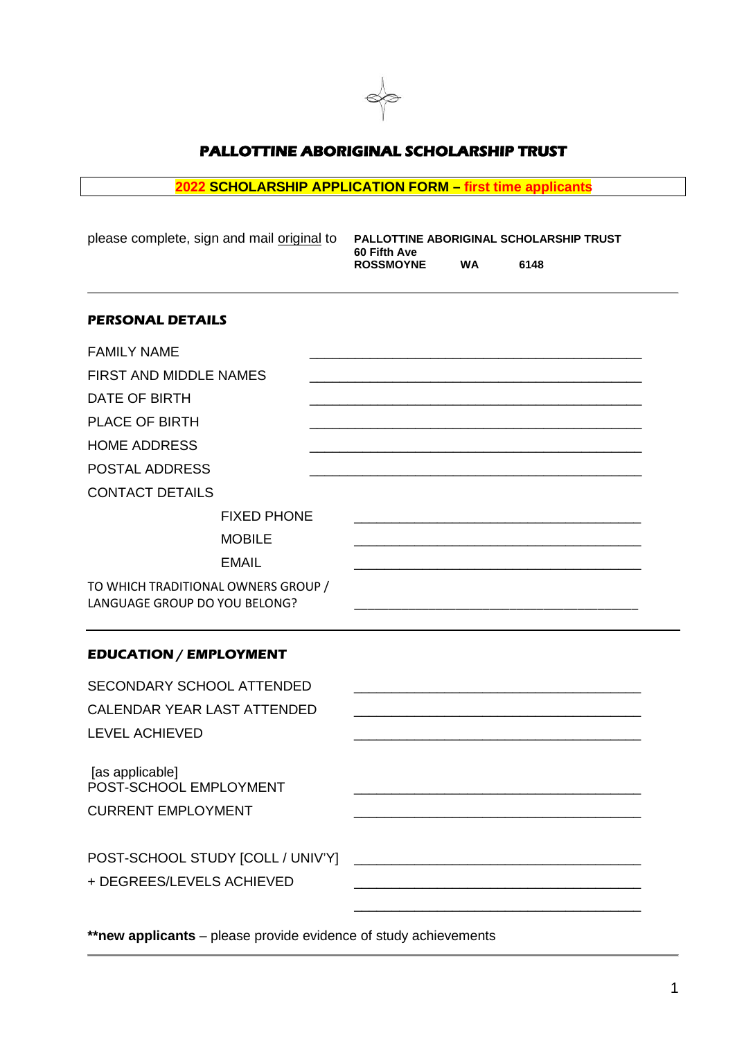

# **PALLOTTINE ABORIGINAL SCHOLARSHIP TRUST**

# **2022 SCHOLARSHIP APPLICATION FORM – first time applicants**

| please complete, sign and mail original to                           | PALLOTTINE ABORIGINAL SCHOLARSHIP TRUST<br>60 Fifth Ave |           |                                                                                                                       |  |
|----------------------------------------------------------------------|---------------------------------------------------------|-----------|-----------------------------------------------------------------------------------------------------------------------|--|
|                                                                      | <b>ROSSMOYNE</b>                                        | <b>WA</b> | 6148                                                                                                                  |  |
| <b>PERSONAL DETAILS</b>                                              |                                                         |           |                                                                                                                       |  |
| <b>FAMILY NAME</b>                                                   |                                                         |           |                                                                                                                       |  |
| FIRST AND MIDDLE NAMES                                               |                                                         |           |                                                                                                                       |  |
| <b>DATE OF BIRTH</b>                                                 |                                                         |           |                                                                                                                       |  |
| PLACE OF BIRTH                                                       |                                                         |           |                                                                                                                       |  |
| <b>HOME ADDRESS</b>                                                  |                                                         |           |                                                                                                                       |  |
| POSTAL ADDRESS                                                       |                                                         |           |                                                                                                                       |  |
| <b>CONTACT DETAILS</b>                                               |                                                         |           |                                                                                                                       |  |
| <b>FIXED PHONE</b>                                                   |                                                         |           |                                                                                                                       |  |
| <b>MOBILE</b>                                                        |                                                         |           |                                                                                                                       |  |
| <b>EMAIL</b>                                                         |                                                         |           |                                                                                                                       |  |
| TO WHICH TRADITIONAL OWNERS GROUP /<br>LANGUAGE GROUP DO YOU BELONG? |                                                         |           |                                                                                                                       |  |
| <b>EDUCATION / EMPLOYMENT</b>                                        |                                                         |           |                                                                                                                       |  |
| SECONDARY SCHOOL ATTENDED                                            |                                                         |           |                                                                                                                       |  |
| CALENDAR YEAR LAST ATTENDED                                          |                                                         |           |                                                                                                                       |  |
| <b>LEVEL ACHIEVED</b>                                                |                                                         |           |                                                                                                                       |  |
| [as applicable]<br>POST-SCHOOL EMPLOYMENT                            |                                                         |           |                                                                                                                       |  |
| <b>CURRENT EMPLOYMENT</b>                                            |                                                         |           |                                                                                                                       |  |
| POST-SCHOOL STUDY [COLL / UNIV'Y]<br>+ DEGREES/LEVELS ACHIEVED       |                                                         |           | <u> 2000 - Jan James James James James James James James James James James James James James James James James Ja</u> |  |
|                                                                      |                                                         |           |                                                                                                                       |  |

**\*\*new applicants** – please provide evidence of study achievements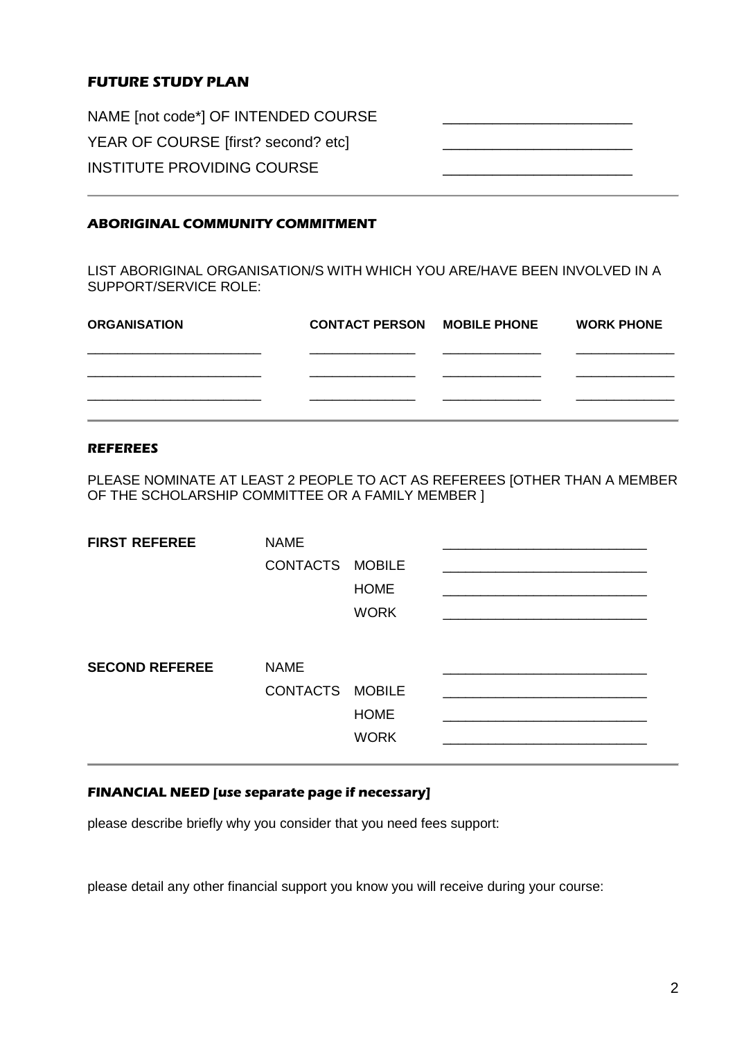# **FUTURE STUDY PLAN**

NAME [not code\*] OF INTENDED COURSE YEAR OF COURSE [first? second? etc] INSTITUTE PROVIDING COURSE

## **ABORIGINAL COMMUNITY COMMITMENT**

LIST ABORIGINAL ORGANISATION/S WITH WHICH YOU ARE/HAVE BEEN INVOLVED IN A SUPPORT/SERVICE ROLE:

| <b>ORGANISATION</b> | <b>CONTACT PERSON MOBILE PHONE</b> | <b>WORK PHONE</b> |
|---------------------|------------------------------------|-------------------|
|                     |                                    |                   |
|                     |                                    |                   |
|                     |                                    |                   |

#### **REFEREES**

PLEASE NOMINATE AT LEAST 2 PEOPLE TO ACT AS REFEREES [OTHER THAN A MEMBER OF THE SCHOLARSHIP COMMITTEE OR A FAMILY MEMBER ]

| <b>FIRST REFEREE</b>  | <b>NAME</b><br>CONTACTS MOBILE | <b>HOME</b><br><b>WORK</b> |  |
|-----------------------|--------------------------------|----------------------------|--|
| <b>SECOND REFEREE</b> | <b>NAME</b><br>CONTACTS MOBILE | <b>HOME</b><br><b>WORK</b> |  |

## **FINANCIAL NEED [use separate page if necessary]**

please describe briefly why you consider that you need fees support:

please detail any other financial support you know you will receive during your course: